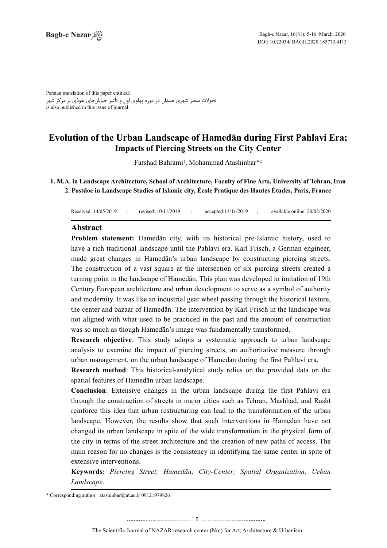Persian translation of this paper entitled: تحوالت منظر شهری همدان در دوره پهلوی اول و تأثیر خیابانهای نفوذی بر مرکز شهر is also published in this issue of journal.

# **Evolution of the Urban Landscape of Hamedān during First Pahlavi Era; Impacts of Piercing Streets on the City Center**

Farshad Bahrami<sup>1</sup>, Mohammad Atashinbar<sup>\*2</sup>

1. M.A. in Landscape Architecture, School of Architecture, Faculty of Fine Arts, University of Tehran, Iran 2. Postdoc in Landscape Studies of Islamic city, École Pratique des Hautes Études, Paris, France

Received: 14/05/2019 ; revised: 10/11/2019 ; accepted: 13/11/2019 ; available online: 20/02/2020

#### **Abstract**

Problem statement: Hamedān city, with its historical pre-Islamic history, used to have a rich traditional landscape until the Pahlavi era. Karl Frisch, a German engineer, made great changes in Hamedān's urban landscape by constructing piercing streets. The construction of a vast square at the intersection of six piercing streets created a turning point in the landscape of Hamedān. This plan was developed in imitation of 19th Century European architecture and urban development to serve as a symbol of authority and modernity. It was like an industrial gear wheel passing through the historical texture, the center and bazaar of Hamedān. The intervention by Karl Frisch in the landscape was not aligned with what used to be practiced in the past and the amount of construction was so much as though Hamedān's image was fundamentally transformed.

**Research objective**: This study adopts a systematic approach to urban landscape analysis to examine the impact of piercing streets, an authoritative measure through urban management, on the urban landscape of Hamedān during the first Pahlavi era.

**Research method**: This historical-analytical study relies on the provided data on the spatial features of Hamedān urban landscape.

**Conclusion**: Extensive changes in the urban landscape during the first Pahlavi era through the construction of streets in major cities such as Tehran, Mashhad, and Rasht reinforce this idea that urban restructuring can lead to the transformation of the urban landscape. However, the results show that such interventions in Hamedan have not changed its urban landscape in spite of the wide transformation in the physical form of the city in terms of the street architecture and the creation of new paths of access. The main reason for no changes is the consistency in identifying the same center in spite of extensive interventions.

**Keywords:** Piercing Street; Hamedān; City-Center; Spatial Organization; Urban  *.Landscape*

\* Corresponding author:  $\text{atashinbar}(\partial_t u \cdot \text{ac.ir } 09121979826$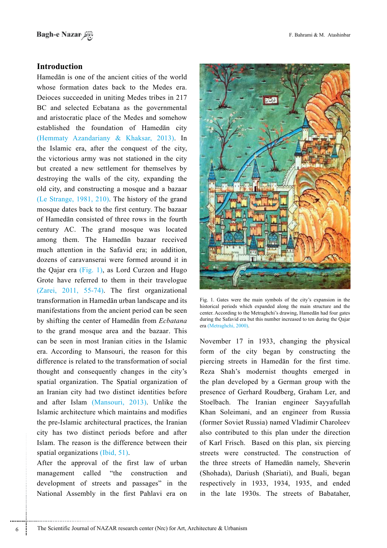# **Introduction**

Hamedān is one of the ancient cities of the world whose formation dates back to the Medes era. Deioces succeeded in uniting Medes tribes in 217 BC and selected Ecbatana as the governmental and aristocratic place of the Medes and somehow established the foundation of Hamedan city (Hemmaty Azandariany  $&$  Khaksar, 2013). In the Islamic era, after the conquest of the city, the victorious army was not stationed in the city but created a new settlement for themselves by destroying the walls of the city, expanding the old city, and constructing a mosque and a bazaar (Le Strange, 1981, 210). The history of the grand mosque dates back to the first century. The bazaar of Hamedān consisted of three rows in the fourth century AC. The grand mosque was located among them. The Hamedan bazaar received much attention in the Safavid era; in addition, dozens of caravanserai were formed around it in the Qajar era (Fig. 1), as Lord Curzon and Hugo Grote have referred to them in their travelogue  $(Zarei, 2011, 55-74)$ . The first organizational transformation in Hamedān urban landscape and its manifestations from the ancient period can be seen by shifting the center of Hamedan from *Ecbatana* to the grand mosque area and the bazaar. This can be seen in most Iranian cities in the Islamic era. According to Mansouri, the reason for this difference is related to the transformation of social thought and consequently changes in the city's spatial organization. The Spatial organization of an Iranian city had two distinct identities before and after Islam (Mansouri, 2013). Unlike the Islamic architecture which maintains and modifies the pre-Islamic architectural practices, the Iranian city has two distinct periods before and after Islam. The reason is the difference between their spatial organizations (Ibid,  $51$ ).

After the approval of the first law of urban management called "the construction and development of streets and passages" in the National Assembly in the first Pahlavi era on



Fig. 1. Gates were the main symbols of the city's expansion in the historical periods which expanded along the main structure and the center. According to the Metraghchi's drawing, Hamedān had four gates during the Safavid era but this number increased to ten during the Oajar era (Metraghchi, 2000).

November 17 in 1933, changing the physical form of the city began by constructing the piercing streets in Hamedān for the first time. Reza Shah's modernist thoughts emerged in the plan developed by a German group with the presence of Gerhard Roudberg, Graham Ler, and Stoelbach. The Iranian engineer Sayyafullah Khan Soleimani, and an engineer from Russia (former Soviet Russia) named Vladimir Charoleev also contributed to this plan under the direction of Karl Frisch. Based on this plan, six piercing streets were constructed. The construction of the three streets of Hamedān namely, Sheverin (Shohada), Dariush (Shariati), and Buali, began respectively in 1933, 1934, 1935, and ended in the late 1930s. The streets of Babataher,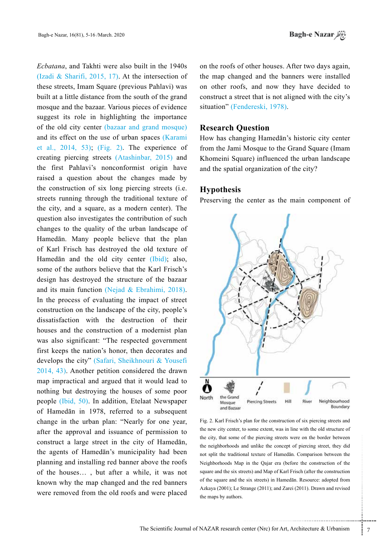Ecbatana, and Takhti were also built in the 1940s (Izadi & Sharifi, 2015, 17). At the intersection of these streets, Imam Square (previous Pahlavi) was built at a little distance from the south of the grand mosque and the bazaar. Various pieces of evidence suggest its role in highlighting the importance of the old city center (bazaar and grand mosque) and its effect on the use of urban spaces (Karami et al.,  $2014$ ,  $53$ ); (Fig. 2). The experience of creating piercing streets  $(Atashinbar, 2015)$  and the first Pahlavi's nonconformist origin have raised a question about the changes made by the construction of six long piercing streets (i.e. streets running through the traditional texture of the city, and a square, as a modern center). The question also investigates the contribution of such changes to the quality of the urban landscape of Hamedān. Many people believe that the plan of Karl Frisch has destroyed the old texture of Hamedān and the old city center (Ibid); also, some of the authors believe that the Karl Frisch's design has destroyed the structure of the bazaar and its main function (Nejad & Ebrahimi, 2018). In the process of evaluating the impact of street construction on the landscape of the city, people's dissatisfaction with the destruction of their houses and the construction of a modernist plan was also significant: "The respected government first keeps the nation's honor, then decorates and develops the city" (Safari, Sheikhnouri & Yousefi  $2014, 43$ ). Another petition considered the drawn map impractical and argued that it would lead to nothing but destroying the houses of some poor people (Ibid,  $50$ ). In addition, Etelaat Newspaper of Hamedān in 1978, referred to a subsequent change in the urban plan: "Nearly for one year, after the approval and issuance of permission to construct a large street in the city of Hamedan, the agents of Hamedān's municipality had been planning and installing red banner above the roofs of the houses..., but after a while, it was not known why the map changed and the red banners were removed from the old roofs and were placed on the roofs of other houses. After two days again, the map changed and the banners were installed on other roofs, and now they have decided to construct a street that is not aligned with the city's situation" (Fendereski, 1978).

### **Research Ouestion**

How has changing Hamedān's historic city center from the Jami Mosque to the Grand Square (Imam Khomeini Square) influenced the urban landscape and the spatial organization of the city?

### **Hypothesis**

Preserving the center as the main component of



f the piercing streets were on the border between<br>
nd unlike the concept of piercing street, they did<br>
nal texture of Hamedān. Comparison between the<br>
in the Qajar era (before the construction of the<br>
eets) and Map of Karl Fig. 2. Karl Frisch's plan for the construction of six piercing streets and the new city center, to some extent, was in line with the old structure of the city, that some of the piercing streets were on the border between the neighborhoods and unlike the concept of piercing street, they did not split the traditional texture of Hamedān. Comparison between the Neighborhoods Map in the Qajar era (before the construction of the square and the six streets) and Map of Karl Frisch (after the construction of the square and the six streets) in Hamedān. Resource: adopted from Azkaya (2001); Le Strange (2011); and Zarei (2011). Drawn and revised the maps by authors.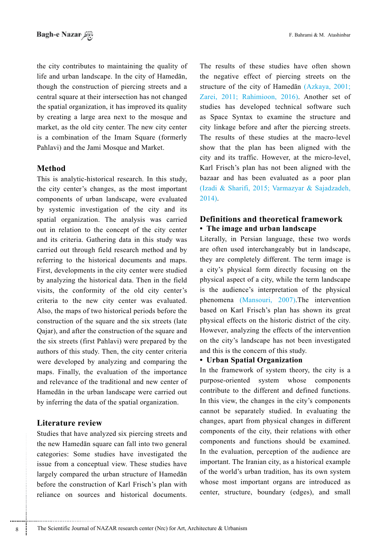the city contributes to maintaining the quality of life and urban landscape. In the city of Hamedan. though the construction of piercing streets and a central square at their intersection has not changed the spatial organization, it has improved its quality by creating a large area next to the mosque and market, as the old city center. The new city center is a combination of the Imam Square (formerly Pahlavi) and the Jami Mosque and Market.

# **Method**

This is analytic-historical research. In this study, the city center's changes, as the most important components of urban landscape, were evaluated by systemic investigation of the city and its spatial organization. The analysis was carried out in relation to the concept of the city center and its criteria. Gathering data in this study was carried out through field research method and by referring to the historical documents and maps. First, developments in the city center were studied by analyzing the historical data. Then in the field visits, the conformity of the old city center's criteria to the new city center was evaluated. Also, the maps of two historical periods before the construction of the square and the six streets (late Qajar), and after the construction of the square and the six streets (first Pahlavi) were prepared by the authors of this study. Then, the city center criteria were developed by analyzing and comparing the maps. Finally, the evaluation of the importance and relevance of the traditional and new center of Hamedān in the urban landscape were carried out by inferring the data of the spatial organization.

### **Literature** review

Studies that have analyzed six piercing streets and the new Hamedān square can fall into two general categories: Some studies have investigated the issue from a conceptual view. These studies have largely compared the urban structure of Hamedan before the construction of Karl Frisch's plan with reliance on sources and historical documents.

The results of these studies have often shown the negative effect of piercing streets on the structure of the city of Hamedān  $(Azkaya, 2001)$ ; Zarei, 2011; Rahimioon, 2016). Another set of studies has developed technical software such as Space Syntax to examine the structure and city linkage before and after the piercing streets. The results of these studies at the macro-level show that the plan has been aligned with the city and its traffic. However, at the micro-level, Karl Frisch's plan has not been aligned with the bazaar and has been evaluated as a poor plan (Izadi & Sharifi, 2015; Varmazyar & Sajadzadeh, 2014).

# **Definitions and theoretical framework • The image and urban landscape**

Literally, in Persian language, these two words are often used interchangeably but in landscape, they are completely different. The term image is a city's physical form directly focusing on the physical aspect of a city, while the term landscape is the audience's interpretation of the physical phenomena (Mansouri, 2007).The intervention based on Karl Frisch's plan has shown its great physical effects on the historic district of the city. However, analyzing the effects of the intervention on the city's landscape has not been investigated and this is the concern of this study.

#### **Organization Spatial Urban•**

In the framework of system theory, the city is a purpose-oriented system whose components contribute to the different and defined functions. In this view, the changes in the city's components cannot be separately studied. In evaluating the changes, apart from physical changes in different components of the city, their relations with other components and functions should be examined. In the evaluation, perception of the audience are important. The Iranian city, as a historical example. of the world's urban tradition, has its own system whose most important organs are introduced as center, structure, boundary (edges), and small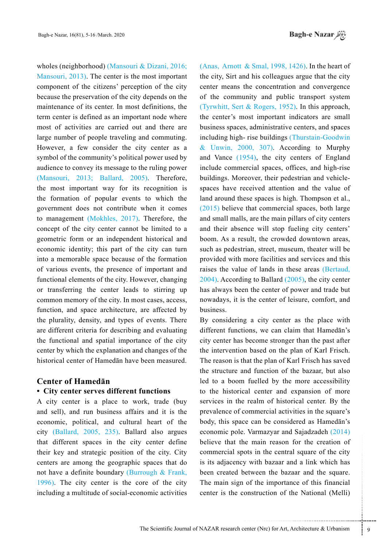wholes (neighborhood) (Mansouri & Dizani, 2016; Mansouri,  $2013$ ). The center is the most important component of the citizens' perception of the city because the preservation of the city depends on the maintenance of its center. In most definitions, the term center is defined as an important node where most of activities are carried out and there are large number of people traveling and commuting. However, a few consider the city center as a symbol of the community's political power used by audience to convey its message to the ruling power  $(Mansouri, 2013; Ballard, 2005)$ . Therefore, the most important way for its recognition is the formation of popular events to which the government does not contribute when it comes to management (Mokhles, 2017). Therefore, the concept of the city center cannot be limited to a geometric form or an independent historical and economic identity; this part of the city can turn into a memorable space because of the formation of various events, the presence of important and functional elements of the city. However, changing or transferring the center leads to stirring up common memory of the city. In most cases, access, function, and space architecture, are affected by the plurality, density, and types of events. There are different criteria for describing and evaluating the functional and spatial importance of the city center by which the explanation and changes of the historical center of Hamedān have been measured.

# **Center of Hamedān**

## **• City center serves different functions**

A city center is a place to work, trade (buy and sell), and run business affairs and it is the economic, political, and cultural heart of the city  $(Ballard, 2005, 235)$ . Ballard also argues that different spaces in the city center define their key and strategic position of the city. City centers are among the geographic spaces that do not have a definite boundary (Burrough  $&$  Frank,  $1996$ ). The city center is the core of the city including a multitude of social-economic activities (Anas, Arnott & Smal, 1998, 1426). In the heart of the city. Sirt and his colleagues argue that the city center means the concentration and convergence of the community and public transport system (Tyrwhitt, Sert & Rogers, 1952). In this approach, the center's most important indicators are small business spaces, administrative centers, and spaces including high-rise buildings (Thurstain-Goodwin & Unwin,  $2000$ ,  $307$ ). According to Murphy and Vance  $(1954)$ , the city centers of England include commercial spaces, offices, and high-rise spaces have received attention and the value of buildings. Moreover, their pedestrian and vehicleland around these spaces is high. Thompson et al.,  $(2015)$  believe that commercial spaces, both large and small malls, are the main pillars of city centers and their absence will stop fueling city centers' boom. As a result, the crowded downtown areas. such as pedestrian, street, museum, theater will be provided with more facilities and services and this raises the value of lands in these areas (Bertaud,  $(2004)$ . According to Ballard  $(2005)$ , the city center has always been the center of power and trade but nowadays, it is the center of leisure, comfort, and .business

ne main reason for the creation of<br>
ots in the central square of the city<br>
y with bazaar and a link which has<br>
between the bazaar and the square.<br>
of the importance of this financial<br>
onstruction of the National (Melli)<br>
e By considering a city center as the place with different functions, we can claim that Hamedan's city center has become stronger than the past after the intervention based on the plan of Karl Frisch. The reason is that the plan of Karl Frisch has saved the structure and function of the bazaar, but also led to a boom fuelled by the more accessibility to the historical center and expansion of more services in the realm of historical center. By the prevalence of commercial activities in the square's body, this space can be considered as Hamedān's economic pole. Varmazyar and Sajadzadeh  $(2014)$ believe that the main reason for the creation of commercial spots in the central square of the city is its adjacency with bazaar and a link which has been created between the bazaar and the square. The main sign of the importance of this financial center is the construction of the National (Melli)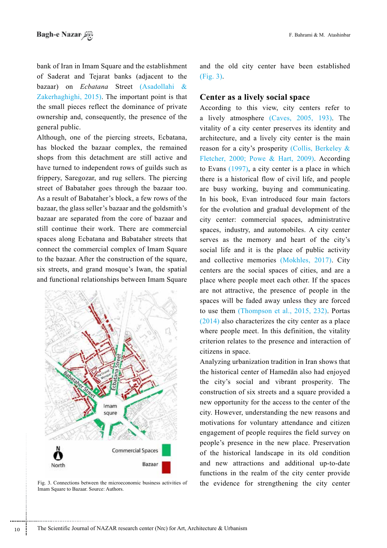bank of Iran in Imam Square and the establishment of Saderat and Tejarat banks (adjacent to the bazaar) on *Ecbatana* Street (Asadollahi & Zakerhaghighi,  $2015$ ). The important point is that the small pieces reflect the dominance of private ownership and, consequently, the presence of the general public.

Although, one of the piercing streets, Ecbatana, has blocked the bazaar complex, the remained shops from this detachment are still active and have turned to independent rows of guilds such as frippery, Saregozar, and rug sellers. The piercing street of Babataher goes through the bazaar too. As a result of Babataher's block, a few rows of the bazaar, the glass seller's bazaar and the goldsmith's bazaar are separated from the core of bazaar and still continue their work. There are commercial spaces along Ecbatana and Babataher streets that connect the commercial complex of Imam Square to the bazaar. After the construction of the square, six streets, and grand mosque's Iwan, the spatial and functional relationships between Imam Square



Fig. 3. Connections between the microeconomic business activities of the evidence for strengthening the city center Imam Square to Bazaar. Source: Authors.

and the old city center have been established  $(Fi\mathbf{g}, 3)$ .

### **Center as a lively social space**

According to this view, city centers refer to a lively atmosphere  $(Caves, 2005, 193)$ . The vitality of a city center preserves its identity and architecture, and a lively city center is the main reason for a city's prosperity (Collis, Berkeley  $\&$ Fletcher, 2000; Powe & Hart, 2009). According to Evans  $(1997)$ , a city center is a place in which there is a historical flow of civil life, and people are busy working, buying and communicating. In his book, Evan introduced four main factors for the evolution and gradual development of the city center: commercial spaces, administrative spaces, industry, and automobiles. A city center serves as the memory and heart of the city's social life and it is the place of public activity and collective memories (Mokhles, 2017). City centers are the social spaces of cities, and are a place where people meet each other. If the spaces are not attractive, the presence of people in the spaces will be faded away unless they are forced to use them (Thompson et al.,  $2015$ ,  $232$ ). Portas  $(2014)$  also characterizes the city center as a place where people meet. In this definition, the vitality criterion relates to the presence and interaction of citizens in space.

Analyzing urbanization tradition in Iran shows that the historical center of Hamedan also had enjoyed the city's social and vibrant prosperity. The construction of six streets and a square provided a new opportunity for the access to the center of the city. However, understanding the new reasons and motivations for voluntary attendance and citizen engagement of people requires the field survey on people's presence in the new place. Preservation of the historical landscape in its old condition and new attractions and additional up-to-date functions in the realm of the city center provide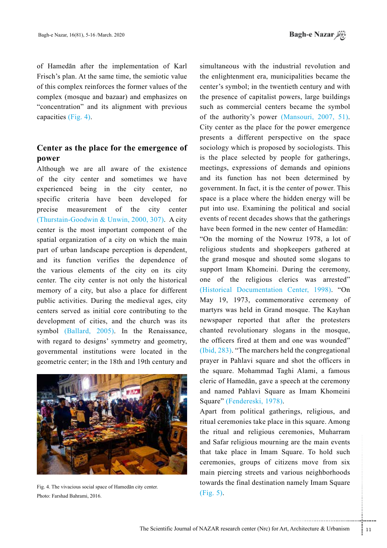of Hamedān after the implementation of Karl Frisch's plan. At the same time, the semiotic value of this complex reinforces the former values of the complex (mosque and bazaar) and emphasizes on "concentration" and its alignment with previous capacities  $(Fig. 4)$ .

# **Center as the place for the emergence of power**

Although we are all aware of the existence of the city center and sometimes we have experienced being in the city center, no specific criteria have been developed for precise measurement of the city center (Thurstain-Goodwin & Unwin, 2000, 307). A city center is the most important component of the spatial organization of a city on which the main part of urban landscape perception is dependent, and its function verifies the dependence of the various elements of the city on its city center. The city center is not only the historical memory of a city, but also a place for different public activities. During the medieval ages, city centers served as initial core contributing to the development of cities, and the church was its symbol (Ballard, 2005). In the Renaissance, with regard to designs' symmetry and geometry, governmental institutions were located in the geometric center; in the 18th and 19th century and



Fig. 4. The vivacious social space of Hamedān city center. Photo: Farshad Bahrami, 2016.

simultaneous with the industrial revolution and the enlightenment era, municipalities became the center's symbol; in the twentieth century and with the presence of capitalist powers, large buildings such as commercial centers became the symbol of the authority's power (Mansouri, 2007, 51). City center as the place for the power emergence presents a different perspective on the space sociology which is proposed by sociologists. This is the place selected by people for gatherings, meetings, expressions of demands and opinions and its function has not been determined by government. In fact, it is the center of power. This space is a place where the hidden energy will be put into use. Examining the political and social events of recent decades shows that the gatherings have been formed in the new center of Hamedan: "On the morning of the Nowruz  $1978$ , a lot of religious students and shopkeepers gathered at the grand mosque and shouted some slogans to support Imam Khomeini. During the ceremony, one of the religious clerics was arrested" (Historical Documentation Center, 1998). "On May 19, 1973, commemorative ceremony of martyrs was held in Grand mosque. The Kayhan newspaper reported that after the protesters

chanted revolutionary slogans in the mosque, the officers fired at them and one was wounded"  $(1)$ <sub>283</sub>). "The marchers held the congregational prayer in Pahlavi square and shot the officers in the square. Mohammad Taghi Alami, a famous cleric of Hamedān, gave a speech at the ceremony and named Pahlavi Square as Imam Khomeini Square" (Fendereski, 1978).

gious mourning are the main events<br>
e in Imam Square. To hold such<br>
roups of citizens move from six<br>
streets and various neighborhoods<br>
aal destination namely Imam Square<br>
enter (Nrc) for Art, Architecture & Urbanism<br>
11 Apart from political gatherings, religious, and ritual ceremonies take place in this square. Among the ritual and religious ceremonies, Muharram and Safar religious mourning are the main events that take place in Imam Square. To hold such ceremonies, groups of citizens move from six main piercing streets and various neighborhoods towards the final destination namely Imam Square  $(Fig. 5)$ .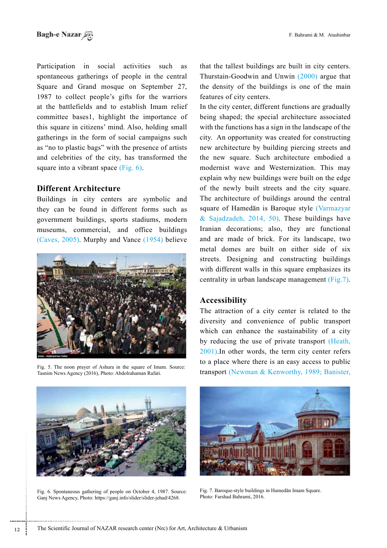Participation in social activities such as spontaneous gatherings of people in the central Square and Grand mosque on September 27, 1987 to collect people's gifts for the warriors at the battlefields and to establish Imam relief committee bases1, highlight the importance of this square in citizens' mind. Also, holding small gatherings in the form of social campaigns such as "no to plastic bags" with the presence of artists and celebrities of the city, has transformed the square into a vibrant space  $(Fig. 6)$ .

# **Different Architecture**

Buildings in city centers are symbolic and they can be found in different forms such as government buildings, sports stadiums, modern museums, commercial, and office buildings (Caves, 2005). Murphy and Vance  $(1954)$  believe



Fig. 5. The noon prayer of Ashura in the square of Imam. Source: Tasnim News Agency (2016), Photo: Abdolrahaman Rafati.

that the tallest buildings are built in city centers. Thurstain-Goodwin and Unwin  $(2000)$  argue that the density of the buildings is one of the main features of city centers.

In the city center, different functions are gradually being shaped; the special architecture associated with the functions has a sign in the landscape of the city. An opportunity was created for constructing new architecture by building piercing streets and the new square. Such architecture embodied a modernist wave and Westernization. This may explain why new buildings were built on the edge of the newly built streets and the city square. The architecture of buildings around the central square of Hamedān is Baroque style (Varmazyar & Sajadzadeh,  $2014$ , 50). These buildings have Iranian decorations; also, they are functional and are made of brick. For its landscape, two metal domes are built on either side of six streets. Designing and constructing buildings with different walls in this square emphasizes its centrality in urban landscape management (Fig.7).

# **Accessibility**

The attraction of a city center is related to the diversity and convenience of public transport which can enhance the sustainability of a city by reducing the use of private transport (Heath,  $2001$ ). In other words, the term city center refers to a place where there is an easy access to public transport (Newman & Kenworthy, 1989; Banister,



Fig. 6. Spontaneous gathering of people on October 4, 1987. Source: Ganj News Agency, Photo: https://ganj.info/slider/slider-jehad/4268.



Fig. 7. Baroque-style buildings in Hamedān Imam Square. Photo: Farshad Bahrami, 2016.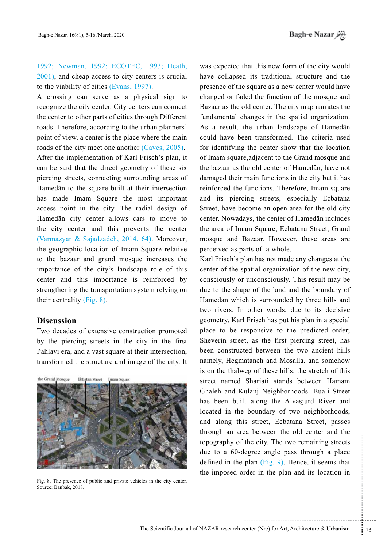1992; Newman, 1992; ECOTEC, 1993; Heath,  $2001$ ), and cheap access to city centers is crucial to the viability of cities  $(Evans, 1997)$ .

A crossing can serve as a physical sign to recognize the city center. City centers can connect the center to other parts of cities through Different roads. Therefore, according to the urban planners' point of view, a center is the place where the main roads of the city meet one another  $(Caves, 2005)$ . After the implementation of Karl Frisch's plan, it can be said that the direct geometry of these six piercing streets, connecting surrounding areas of Hamedān to the square built at their intersection has made Imam Square the most important access point in the city. The radial design of Hamedān city center allows cars to move to the city center and this prevents the center (Varmazyar & Sajadzadeh, 2014, 64). Moreover, the geographic location of Imam Square relative to the bazaar and grand mosque increases the importance of the city's landscape role of this center and this importance is reinforced by strengthening the transportation system relying on their centrality (Fig.  $8$ ).

# **Discussion**

Two decades of extensive construction promoted by the piercing streets in the city in the first Pahlavi era, and a vast square at their intersection, transformed the structure and image of the city. It

the Grand Mosens **Ekhatan Street** Imam Squre



Fig. 8. The presence of public and private vehicles in the city center. Source: Banbak, 2018.

was expected that this new form of the city would have collapsed its traditional structure and the presence of the square as a new center would have changed or faded the function of the mosque and Bazaar as the old center. The city map narrates the fundamental changes in the spatial organization. As a result, the urban landscape of Hamedan could have been transformed. The criteria used for identifying the center show that the location of Imam square, adjacent to the Grand mosque and the bazaar as the old center of Hamedān, have not damaged their main functions in the city but it has reinforced the functions. Therefore, Imam square and its piercing streets, especially Ecbatana Street, have become an open area for the old city center. Nowadays, the center of Hamedān includes the area of Imam Square, Ecbatana Street, Grand mosque and Bazaar. However, these areas are perceived as parts of a whole.

the city. The two remaining streets<br>
legree angle pass through a place<br>
plan (Fig. 9). Hence, it seems that<br>
rder in the plan and its location in<br>
reter in the plan and its location in<br>
enter (Nrc) for Art, Architecture & Karl Frisch's plan has not made any changes at the center of the spatial organization of the new city, consciously or unconsciously. This result may be due to the shape of the land and the boundary of Hamedān which is surrounded by three hills and two rivers. In other words, due to its decisive geometry, Karl Frisch has put his plan in a special place to be responsive to the predicted order; Sheverin street, as the first piercing street, has been constructed between the two ancient hills namely, Hegmataneh and Mosalla, and somehow is on the thalweg of these hills; the stretch of this street named Shariati stands between Hamam Ghaleh and Kulanj Neighborhoods. Buali Street has been built along the Alvasjurd River and located in the boundary of two neighborhoods, and along this street. Ecbatana Street, passes through an area between the old center and the topography of the city. The two remaining streets due to a  $60$ -degree angle pass through a place defined in the plan  $(Fig. 9)$ . Hence, it seems that the imposed order in the plan and its location in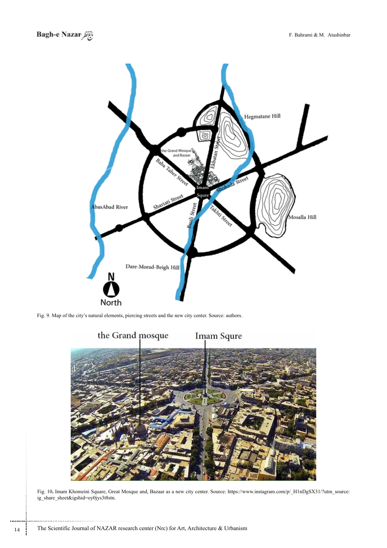

Fig. 9. Map of the city's natural elements, piercing streets and the new city center. Source: authors.



Fig. 10. Imam Khomeini Square, Great Mosque and, Bazaar as a new city center. Source: https://www.instagram.com/p/\_H1nDgSX31/?utm\_source: ig\_share\_sheet&igshid=oy0jys3t8stn.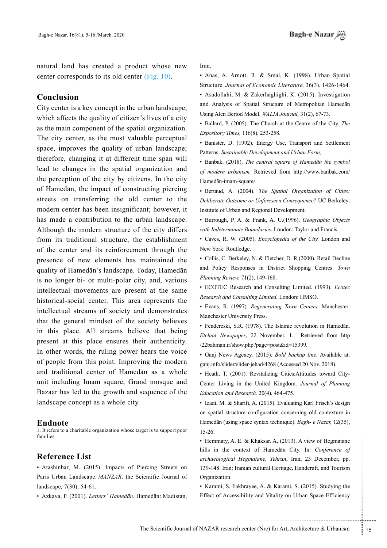natural land has created a product whose new center corresponds to its old center  $(Fig, 10)$ .

# **Conclusion**

City center is a key concept in the urban landscape, which affects the quality of citizen's lives of a city as the main component of the spatial organization. The city center, as the most valuable perceptual space, improves the quality of urban landscape; therefore, changing it at different time span will lead to changes in the spatial organization and the perception of the city by citizens. In the city of Hamedān, the impact of constructing piercing streets on transferring the old center to the modern center has been insignificant; however, it has made a contribution to the urban landscape. Although the modern structure of the city differs from its traditional structure, the establishment of the center and its reinforcement through the presence of new elements has maintained the quality of Hamedān's landscape. Today, Hamedān is no longer bi- or multi-polar city, and, various intellectual movements are present at the same historical-social center. This area represents the intellectual streams of society and demonstrates that the general mindset of the society believes in this place. All streams believe that being present at this place ensures their authenticity. In other words, the ruling power hears the voice of people from this point. Improving the modern and traditional center of Hamedan as a whole unit including Imam square, Grand mosque and Bazaar has led to the growth and sequence of the landscape concept as a whole city.

#### **Endnote**

1. It refers to a charitable organization whose target is to support poor .families

#### **Reference** List

• Atashinbar, M. (2015). Impacts of Piercing Streets on Paris Urban Landscape, *MANZAR*, the Scientific Journal of landscape, 7(30), 54-61.

• Azkaya, P. (2001). Letters` *Hamedān*. Hamedān: Madistan,

Iran.

 $\bullet$  Anas, A. Arnott, R. & Smal, K. (1998). Urban Spatial Structure. Journal of Economic Literature, 36(3), 1426-1464.

• Asadollahi, M. & Zakerhaghighi, K. (2015). Investigation and Analysis of Spatial Structure of Metropolitan Hamedān Using Alen Bertod Model. WALIA Journal, 31(2), 67-73.

• Ballard, P. (2005). The Church at the Centre of the City. The Expository Times, 116(8), 253-258.

• Banister, D. (1992). Energy Use, Transport and Settlement Patterns. Sustainable Development and Urban Form,

• Banbak. (2018). The central square of Hamedan the symbol of modern urbanism. Retrieved from http://www.banbak.com/ Hamedān-imam-square/.

**· Bertaud, A. (2004).** The Spatial Organization of Cities: Deliberate Outcome or Unforeseen Consequence? UC Berkeley: Institute of Urban and Regional Development.

**· Burrough, P. A. & Frank, A. U.(1996).** Geographic Objects with Indeterminate Boundaries. London: Taylor and Francis.

• Caves, R. W. (2005). *Encyclopedia of the City*. London and New York: Routledge.

• Collis, C. Berkeley, N. & Fletcher, D. R.(2000). Retail Decline and Policy Responses in District Shopping Centres. Town Planning Review, 71(2), 149-168.

• ECOTEC Research and Consulting Limited. (1993). *Ecotec*  $Research$  *and Consulting Limited. London: HMSO.* 

 $\cdot$  Evans, R. (1997). *Regenerating Town Centers*. Manchester: Manchester University Press.

• Fendereski, S.R. (1978). The Islamic revolution in Hamedān. Etelaat Newspaper, 22 November, 1. Retrieved from http /22bahman.ir/show.php?page=post&id=15399.

 $\cdot$  Ganj News Agency. (2015). *Bold backup line*. Available at: ganj.info/slider/slider-jehad/4268 (Accessed 20 Nov. 2018).

Center Living in the United Kingdom. Journal of Planning • Heath, T. (2001). Revitalizing Cities:Attitudes toward City-Education and Research, 20(4), 464-475.

• Izadi, M. & Sharifi, A. (2015). Evaluating Karl Frisch's design on spatial structure configuration concerning old contexture in Hamedān (using space syntax technique). Bagh- e Nazar, 12(35), 15-26.

& Khaksar. A, (2013). A view of Hegmatane<br>ext of Hamedān City. In: *Conference of*<br>egmatane, *Tehran*, Iran, 23 December, pp.<br>ian cultural Heritage, Handcraft, and Tourism<br>rayee, A. & Karami, S. (2015). Studying the<br>ility • Hemmaty, A. E. & Khaksar. A,  $(2013)$ . A view of Hegmatane hills in the context of Hamedan City. In: Conference of archaeological Hegmatane, Tehran, Iran, 23 December, pp. 139-148. Iran: Iranian cultural Heritage. Handcraft, and Tourism .Organization

• Karami, S. Fakhrayee, A. & Karami, S. (2015). Studying the Effect of Accessibility and Vitality on Urban Space Efficiency